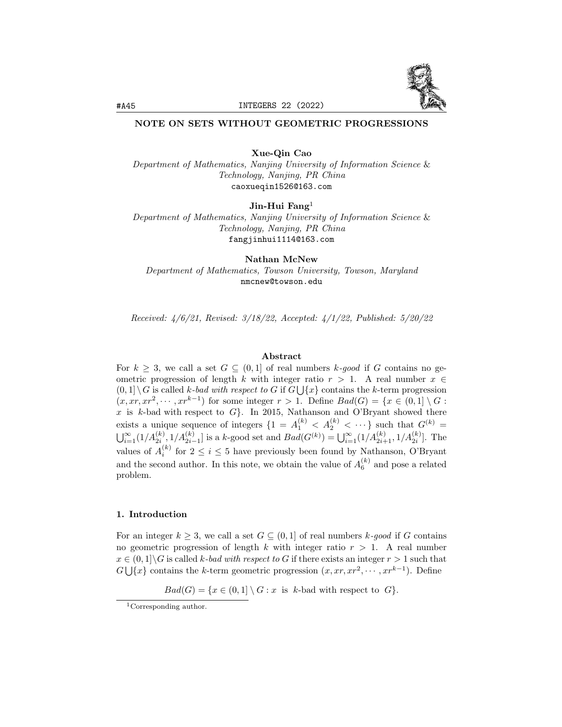

# NOTE ON SETS WITHOUT GEOMETRIC PROGRESSIONS

Xue-Qin Cao

Department of Mathematics, Nanjing University of Information Science & Technology, Nanjing, PR China caoxueqin1526@163.com

Jin-Hui Fang<sup>1</sup>

Department of Mathematics, Nanjing University of Information Science & Technology, Nanjing, PR China fangjinhui1114@163.com

Nathan McNew Department of Mathematics, Towson University, Towson, Maryland nmcnew@towson.edu

Received: 4/6/21, Revised: 3/18/22, Accepted: 4/1/22, Published: 5/20/22

# Abstract

For  $k \geq 3$ , we call a set  $G \subseteq (0,1]$  of real numbers k-good if G contains no geometric progression of length k with integer ratio  $r > 1$ . A real number  $x \in$  $(0,1] \setminus G$  is called k-bad with respect to G if  $G \bigcup \{x\}$  contains the k-term progression  $(x, xr, xr^2, \dots, xr^{k-1})$  for some integer  $r > 1$ . Define  $Bad(G) = \{x \in (0,1] \setminus G :$  $x$  is  $k$ -bad with respect to  $G$ . In 2015, Nathanson and O'Bryant showed there exists a unique sequence of integers  $\{1 = A_1^{(k)} < A_2^{(k)} < \cdots\}$  such that  $G^{(k)}$  =  $\bigcup_{i=1}^{\infty} (1/A_{2i}^{(k)}, 1/A_{2i-1}^{(k)})$  is a k-good set and  $Bad(G^{(k)}) = \bigcup_{i=1}^{\infty} (1/A_{2i+1}^{(k)}, 1/A_{2i}^{(k)})$ . The values of  $A_i^{(k)}$  for  $2 \leq i \leq 5$  have previously been found by Nathanson, O'Bryant and the second author. In this note, we obtain the value of  $A_6^{(k)}$  and pose a related problem.

# 1. Introduction

For an integer  $k \geq 3$ , we call a set  $G \subseteq (0,1]$  of real numbers k-good if G contains no geometric progression of length k with integer ratio  $r > 1$ . A real number  $x \in (0,1] \backslash G$  is called k-bad with respect to G if there exists an integer  $r > 1$  such that  $G \bigcup \{x\}$  contains the k-term geometric progression  $(x, xr, xr^2, \dots, xr^{k-1})$ . Define

 $Bad(G) = \{x \in (0,1] \setminus G : x \text{ is } k\text{-bad with respect to } G\}.$ 

 $\frac{1}{1}$ Corresponding author.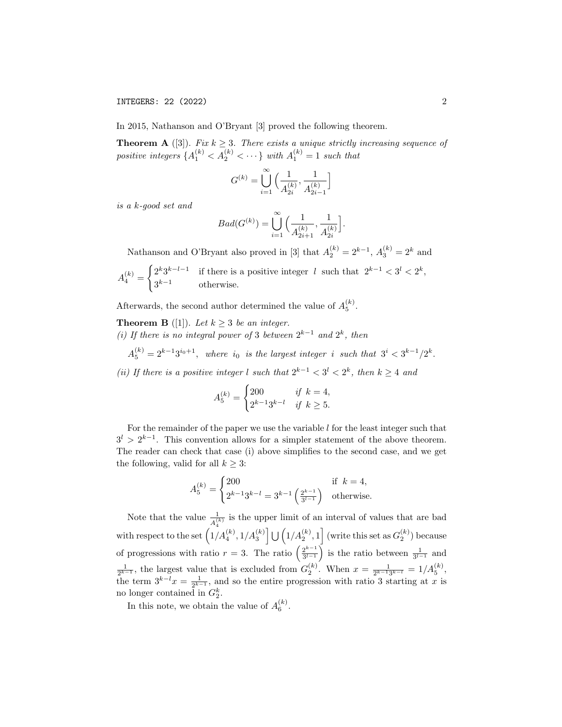In 2015, Nathanson and O'Bryant [3] proved the following theorem.

**Theorem A** ([3]). Fix  $k \geq 3$ . There exists a unique strictly increasing sequence of positive integers  ${A_1^{(k)} < A_2^{(k)} < \cdots}$  with  $A_1^{(k)} = 1$  such that

$$
G^{(k)} = \bigcup_{i=1}^{\infty} \Big( \frac{1}{A_{2i}^{(k)}}, \frac{1}{A_{2i-1}^{(k)}} \Big]
$$

is a k-good set and

$$
Bad(G^{(k)}) = \bigcup_{i=1}^{\infty} \Big( \frac{1}{A_{2i+1}^{(k)}}, \frac{1}{A_{2i}^{(k)}} \Big].
$$

Nathanson and O'Bryant also proved in [3] that  $A_2^{(k)} = 2^{k-1}$ ,  $A_3^{(k)} = 2^k$  and

$$
A_4^{(k)} = \begin{cases} 2^k 3^{k-l-1} & \text{if there is a positive integer } l \text{ such that } 2^{k-1} < 3^l < 2^k, \\ 3^{k-1} & \text{otherwise.} \end{cases}
$$

Afterwards, the second author determined the value of  $A_5^{(k)}$ .

**Theorem B** ([1]). Let  $k \geq 3$  be an integer. (i) If there is no integral power of 3 between  $2^{k-1}$  and  $2^k$ , then

 $A_5^{(k)} = 2^{k-1}3^{i_0+1}$ , where  $i_0$  is the largest integer i such that  $3^i < 3^{k-1}/2^k$ .

(ii) If there is a positive integer l such that  $2^{k-1} < 3^l < 2^k$ , then  $k \geq 4$  and

$$
A_5^{(k)} = \begin{cases} 200 & \text{if } k = 4, \\ 2^{k-1}3^{k-l} & \text{if } k \ge 5. \end{cases}
$$

For the remainder of the paper we use the variable  $l$  for the least integer such that  $3^{l} > 2^{k-1}$ . This convention allows for a simpler statement of the above theorem. The reader can check that case (i) above simplifies to the second case, and we get the following, valid for all  $k \geq 3$ :

$$
A_5^{(k)} = \begin{cases} 200 & \text{if } k = 4, \\ 2^{k-1}3^{k-l} = 3^{k-1} \left(\frac{2^{k-1}}{3^{l-1}}\right) & \text{otherwise.} \end{cases}
$$

Note that the value  $\frac{1}{A_4^{(k)}}$  is the upper limit of an interval of values that are bad with respect to the set  $(1/A_4^{(k)}, 1/A_3^{(k)}\right] \cup (1/A_2^{(k)}, 1]$  (write this set as  $G_2^{(k)}$ ) because of progressions with ratio  $r = 3$ . The ratio  $\left(\frac{2^{k-1}}{2^{i-1}}\right)$  $\frac{2^{k-1}}{3^{l-1}}$  is the ratio between  $\frac{1}{3^{l-1}}$  and  $\frac{1}{2^{k-1}}$ , the largest value that is excluded from  $G_2^{(k)}$ . When  $x = \frac{1}{2^{k-1}3^{k-l}} = 1/A_5^{(k)}$ , the term  $3^{k-l}x = \frac{1}{2^{k-1}}$ , and so the entire progression with ratio 3 starting at x is no longer contained in  $G_2^k$ .

In this note, we obtain the value of  $A_6^{(k)}$ .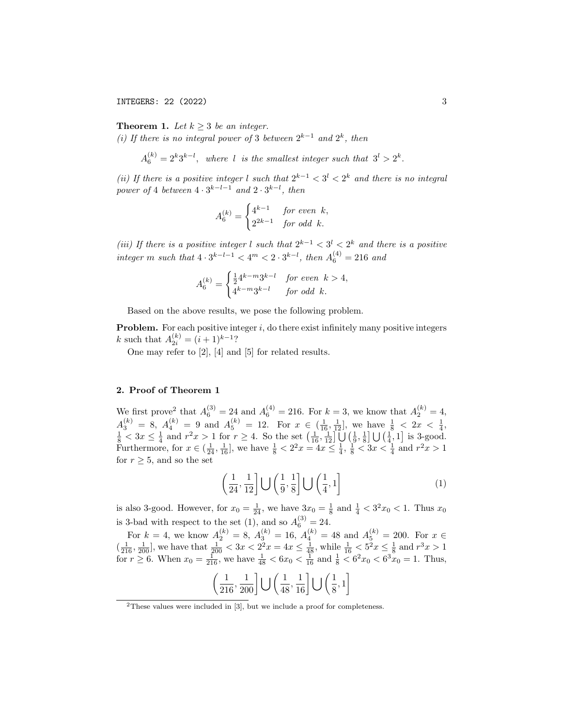INTEGERS: 22 (2022) 3

**Theorem 1.** Let  $k \geq 3$  be an integer.

(i) If there is no integral power of 3 between  $2^{k-1}$  and  $2^k$ , then

 $A_6^{(k)} = 2^k 3^{k-l}$ , where l is the smallest integer such that  $3^l > 2^k$ .

(ii) If there is a positive integer l such that  $2^{k-1} < 3^l < 2^k$  and there is no integral power of 4 between  $4 \cdot 3^{k-l-1}$  and  $2 \cdot 3^{k-l}$ , then

$$
A_6^{(k)} = \begin{cases} 4^{k-1} & \text{for even } k, \\ 2^{2k-1} & \text{for odd } k. \end{cases}
$$

(iii) If there is a positive integer l such that  $2^{k-1} < 3^l < 2^k$  and there is a positive  $integer \ m \ such \ that \ 4 \cdot 3^{k-l-1} < 4^m < 2 \cdot 3^{k-l}, \ then \ A_6^{(4)} = 216 \ and$ 

$$
A_6^{(k)} = \begin{cases} \frac{1}{2}4^{k-m}3^{k-l} & \text{for even } k > 4, \\ 4^{k-m}3^{k-l} & \text{for odd } k. \end{cases}
$$

Based on the above results, we pose the following problem.

**Problem.** For each positive integer  $i$ , do there exist infinitely many positive integers k such that  $A_{2i}^{(k)} = (i+1)^{k-1}$ ?

One may refer to [2], [4] and [5] for related results.

### 2. Proof of Theorem 1

We first prove<sup>2</sup> that  $A_6^{(3)} = 24$  and  $A_6^{(4)} = 216$ . For  $k = 3$ , we know that  $A_2^{(k)} = 4$ ,  $A_3^{(k)} = 8, A_4^{(k)} = 9$  and  $A_5^{(k)} = 12.$  For  $x \in (\frac{1}{16}, \frac{1}{12}]$ , we have  $\frac{1}{8} < 2x < \frac{1}{4}$ ,  $\frac{1}{8} < 3x \leq \frac{1}{4}$  and  $r^2x > 1$  for  $r \geq 4$ . So the set  $\left(\frac{1}{16}, \frac{1}{12}\right] \cup \left(\frac{1}{9}, \frac{1}{8}\right] \cup \left(\frac{1}{4}, 1\right]$  is 3-good. Furthermore, for  $x \in (\frac{1}{24}, \frac{1}{16}]$ , we have  $\frac{1}{8} < 2^2 x = 4x \le \frac{1}{4}$ ,  $\frac{1}{8} < 3x < \frac{1}{4}$  and  $r^2 x > 1$ for  $r \geq 5$ , and so the set

$$
\left(\frac{1}{24}, \frac{1}{12}\right] \bigcup \left(\frac{1}{9}, \frac{1}{8}\right] \bigcup \left(\frac{1}{4}, 1\right] \tag{1}
$$

is also 3-good. However, for  $x_0 = \frac{1}{24}$ , we have  $3x_0 = \frac{1}{8}$  and  $\frac{1}{4} < 3^2 x_0 < 1$ . Thus  $x_0$ is 3-bad with respect to the set (1), and so  $A_6^{(3)} = 24$ .

For  $k = 4$ , we know  $A_2^{(k)} = 8$ ,  $A_3^{(k)} = 16$ ,  $A_4^{(k)} = 48$  and  $A_5^{(k)} = 200$ . For  $x \in$  $\left(\frac{1}{216}, \frac{1}{200}\right]$ , we have that  $\frac{1}{200} < 3x < 2^2x = 4x \le \frac{1}{48}$ , while  $\frac{1}{16} < 5^2x \le \frac{1}{8}$  and  $r^3x > 1$ for  $r \ge 6$ . When  $x_0 = \frac{1}{216}$ , we have  $\frac{1}{48} < 6x_0 < \frac{1}{16}$  and  $\frac{1}{8} < 6^2x_0 < 6^3x_0 = 1$ . Thus,

$$
\left(\frac{1}{216}, \frac{1}{200}\right] \bigcup \left(\frac{1}{48}, \frac{1}{16}\right] \bigcup \left(\frac{1}{8}, 1\right]
$$

<sup>&</sup>lt;sup>2</sup>These values were included in [3], but we include a proof for completeness.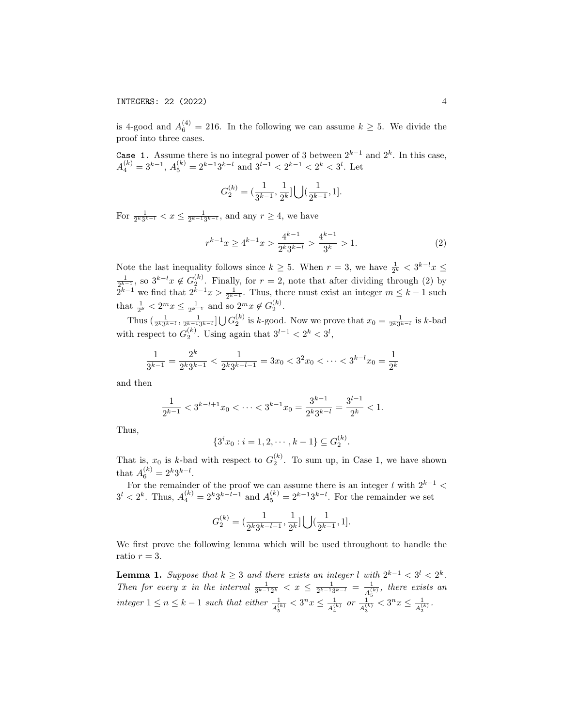is 4-good and  $A_6^{(4)} = 216$ . In the following we can assume  $k \geq 5$ . We divide the proof into three cases.

Case 1. Assume there is no integral power of 3 between  $2^{k-1}$  and  $2^k$ . In this case,  $A_4^{(k)} = 3^{k-1}, A_5^{(k)} = 2^{k-1}3^{k-l}$  and  $3^{l-1} < 2^{k-1} < 2^k < 3^l$ . Let

$$
G_2^{(k)}=(\frac{1}{3^{k-1}},\frac{1}{2^k}]\bigcup(\frac{1}{2^{k-1}},1].
$$

For  $\frac{1}{2^{k}3^{k-l}} < x \leq \frac{1}{2^{k-1}3^{k-l}}$ , and any  $r \geq 4$ , we have

$$
r^{k-1}x \ge 4^{k-1}x > \frac{4^{k-1}}{2^k 3^{k-l}} > \frac{4^{k-1}}{3^k} > 1.
$$
 (2)

Note the last inequality follows since  $k \geq 5$ . When  $r = 3$ , we have  $\frac{1}{2^k} < 3^{k-l}x \leq$  $\frac{1}{2^{k-1}}$ , so  $3^{k-l}x \notin G_2^{(k)}$ . Finally, for  $r=2$ , note that after dividing through (2) by  $2^{k-1}$  we find that  $2^{k-1}x > \frac{1}{2^{k-1}}$ . Thus, there must exist an integer  $m \leq k-1$  such that  $\frac{1}{2^k} < 2^m x \le \frac{1}{2^{k-1}}$  and so  $2^m x \notin G_2^{(k)}$ .

Thus  $\left(\frac{1}{2^k 3^{k-l}}, \frac{1}{2^{k-1} 3^{k-l}}\right] \bigcup G_2^{(k)}$  is k-good. Now we prove that  $x_0 = \frac{1}{2^k 3^{k-l}}$  is k-bad with respect to  $G_2^{(k)}$ . Using again that  $3^{l-1} < 2^k < 3^l$ ,

$$
\frac{1}{3^{k-1}} = \frac{2^k}{2^k 3^{k-1}} < \frac{1}{2^k 3^{k-l-1}} = 3x_0 < 3^2 x_0 < \dots < 3^{k-l} x_0 = \frac{1}{2^k}
$$

and then

$$
\frac{1}{2^{k-1}} < 3^{k-l+1}x_0 < \dots < 3^{k-1}x_0 = \frac{3^{k-1}}{2^k 3^{k-l}} = \frac{3^{l-1}}{2^k} < 1.
$$

Thus,

$$
\{3^i x_0 : i = 1, 2, \cdots, k - 1\} \subseteq G_2^{(k)}.
$$

That is,  $x_0$  is k-bad with respect to  $G_2^{(k)}$ . To sum up, in Case 1, we have shown that  $A_6^{(k)} = 2^k 3^{k-l}$ .

For the remainder of the proof we can assume there is an integer l with  $2^{k-1}$  <  $3^{l} < 2^{k}$ . Thus,  $A_4^{(k)} = 2^{k} 3^{k-l-1}$  and  $A_5^{(k)} = 2^{k-1} 3^{k-l}$ . For the remainder we set

$$
G_2^{(k)} = \left(\frac{1}{2^k 3^{k-l-1}}, \frac{1}{2^k}\right) \bigcup \left(\frac{1}{2^{k-1}}, 1\right].
$$

We first prove the following lemma which will be used throughout to handle the ratio  $r = 3$ .

**Lemma 1.** Suppose that  $k \geq 3$  and there exists an integer l with  $2^{k-1} < 3^l < 2^k$ . Then for every x in the interval  $\frac{1}{3^{k-1}2^k} < x \leq \frac{1}{2^{k-1}3^{k-1}} = \frac{1}{A_n^{(k)}}$  $\frac{1}{A_5^{(k)}}$ , there exists an integer  $1 \leq n \leq k-1$  such that either  $\frac{1}{A_5^{(k)}} < 3^n x \leq \frac{1}{A_4^{(1)}}$  $\frac{1}{A_4^{(k)}}$  or  $\frac{1}{A_3^{(k)}} < 3^n x \leq \frac{1}{A_2^{(k)}}$  $\frac{1}{A_2^{(k)}}$  .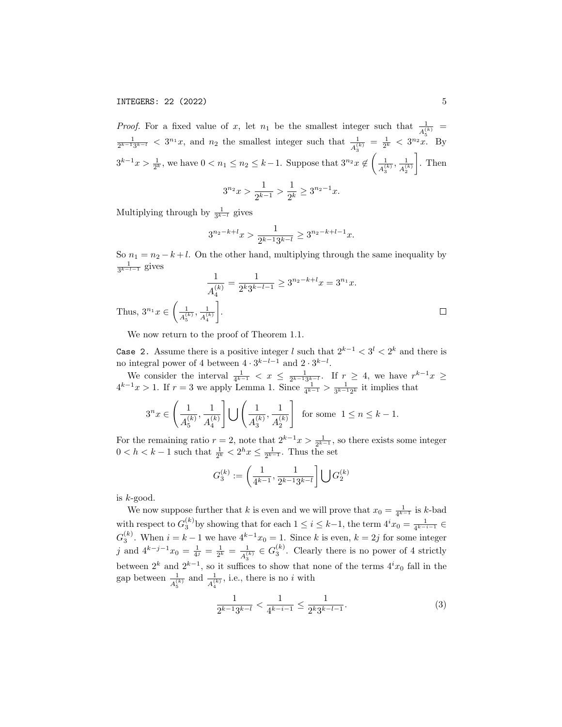# INTEGERS: 22 (2022) 5

*Proof.* For a fixed value of x, let  $n_1$  be the smallest integer such that  $\frac{1}{A_5^{(k)}}$  $\frac{1}{2^{k-1}3^{k-1}} < 3^{n_1}x$ , and  $n_2$  the smallest integer such that  $\frac{1}{A_3^{(k)}} = \frac{1}{2^k} < 3^{n_2}x$ . By  $3^{k-1}x > \frac{1}{2^k}$ , we have  $0 < n_1 \leq n_2 \leq k-1$ . Suppose that  $3^{n_2}x \notin \left(\frac{1}{4^{(k)}}\right)$  $\frac{1}{A_3^{(k)}}, \frac{1}{A_2^{(k)}}$  $A_2^{(k)}$  $\Big]$ . Then 1  $x$ <sup>-1</sup> $x$ .

$$
3^{n_2}x > \frac{1}{2^{k-1}} > \frac{1}{2^k} \ge 3^{n_2 - 1}
$$

Multiplying through by  $\frac{1}{3^{k-l}}$  gives

$$
3^{n_2-k+l}x > \frac{1}{2^{k-1}3^{k-l}} \ge 3^{n_2-k+l-1}x.
$$

So  $n_1 = n_2 - k + l$ . On the other hand, multiplying through the same inequality by  $\frac{1}{3^{k-l-1}}$  gives

$$
\frac{1}{A_4^{(k)}} = \frac{1}{2^k 3^{k-l-1}} \ge 3^{n_2 - k + l} x = 3^{n_1} x.
$$
  
Thus,  $3^{n_1} x \in \left(\frac{1}{A_5^{(k)}}, \frac{1}{A_4^{(k)}}\right].$ 

We now return to the proof of Theorem 1.1.

Case 2. Assume there is a positive integer l such that  $2^{k-1} < 3^l < 2^k$  and there is no integral power of 4 between  $4 \cdot 3^{k-l-1}$  and  $2 \cdot 3^{k-l}$ .

We consider the interval  $\frac{1}{4^{k-1}} < x \leq \frac{1}{2^{k-1}3^{k-1}}$ . If  $r \geq 4$ , we have  $r^{k-1}x \geq$  $4^{k-1}x > 1$ . If  $r = 3$  we apply Lemma 1. Since  $\frac{1}{4^{k-1}} > \frac{1}{3^{k-1}2^k}$  it implies that

$$
3^n x \in \left(\frac{1}{A_5^{(k)}}, \frac{1}{A_4^{(k)}}\right] \bigcup \left(\frac{1}{A_3^{(k)}}, \frac{1}{A_2^{(k)}}\right] \text{ for some } 1 \le n \le k - 1.
$$

For the remaining ratio  $r = 2$ , note that  $2^{k-1}x > \frac{1}{2^{k-1}}$ , so there exists some integer  $0 < h < k-1$  such that  $\frac{1}{2^k} < 2^h x \leq \frac{1}{2^{k-1}}$ . Thus the set

$$
G_3^{(k)} := \left(\frac{1}{4^{k-1}}, \frac{1}{2^{k-1}3^{k-l}}\right] \bigcup G_2^{(k)}
$$

is  $k$ -good.

We now suppose further that k is even and we will prove that  $x_0 = \frac{1}{4^{k-1}}$  is k-bad with respect to  $G_3^{(k)}$  by showing that for each  $1 \leq i \leq k-1$ , the term  $4^i x_0 = \frac{1}{4^{k-i-1}} \in$  $G_3^{(k)}$ . When  $i = k - 1$  we have  $4^{k-1}x_0 = 1$ . Since k is even,  $k = 2j$  for some integer j and  $4^{k-j-1}x_0 = \frac{1}{4^j} = \frac{1}{2^k} = \frac{1}{4^{\binom{n}{2}}}$  $\frac{1}{A_3^{(k)}} \in G_3^{(k)}$ . Clearly there is no power of 4 strictly between  $2^k$  and  $2^{k-1}$ , so it suffices to show that none of the terms  $4^ix_0$  fall in the gap between  $\frac{1}{A_5^{(k)}}$  and  $\frac{1}{A_4^{(k)}}$ , i.e., there is no *i* with

$$
\frac{1}{2^{k-1}3^{k-l}} < \frac{1}{4^{k-i-1}} \le \frac{1}{2^k 3^{k-l-1}}.\tag{3}
$$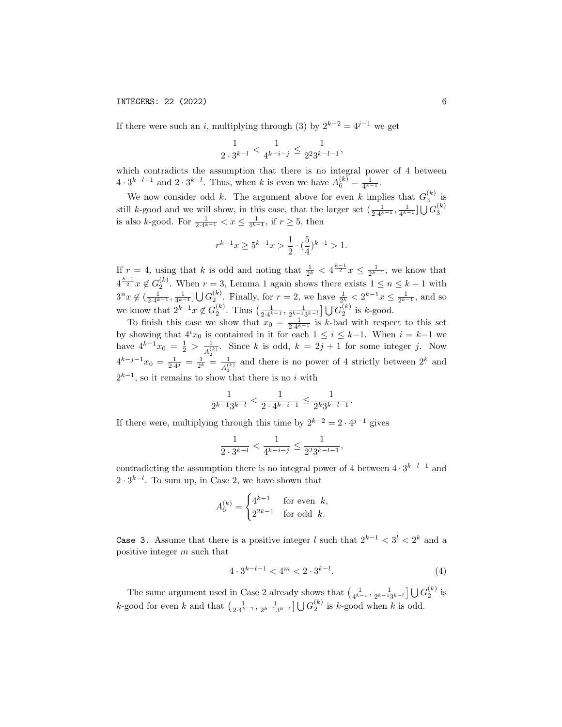If there were such an i, multiplying through (3) by  $2^{k-2} = 4^{j-1}$  we get

$$
\frac{1}{2\cdot 3^{k-l}}<\frac{1}{4^{k-i-j}}\leq \frac{1}{2^2 3^{k-l-1}},
$$

which contradicts the assumption that there is no integral power of 4 between  $4 \cdot 3^{k-l-1}$  and  $2 \cdot 3^{k-l}$ . Thus, when k is even we have  $A_6^{(k)} = \frac{1}{4^{k-1}}$ .

We now consider odd k. The argument above for even k implies that  $G_3^{(k)}$  is still k-good and we will show, in this case, that the larger set  $(\frac{1}{2\cdot 4^{k-1}}, \frac{1}{4^{k-1}}] \bigcup G_3^{(k)}$ is also *k*-good. For  $\frac{1}{2 \cdot 4^{k-1}} < x \le \frac{1}{4^{k-1}}$ , if  $r \ge 5$ , then

$$
r^{k-1}x \ge 5^{k-1}x > \frac{1}{2} \cdot (\frac{5}{4})^{k-1} > 1.
$$

If  $r = 4$ , using that k is odd and noting that  $\frac{1}{2^k} < 4^{\frac{k-1}{2}}x \le \frac{1}{2^{k-1}}$ , we know that  $4^{\frac{k-1}{2}}x \notin G_2^{(k)}$ . When  $r = 3$ , Lemma 1 again shows there exists  $1 \leq n \leq k-1$  with  $3^n x \notin (\frac{1}{2 \cdot 4^{k-1}}, \frac{1}{4^{k-1}}] \bigcup G_2^{(k)}$ . Finally, for  $r = 2$ , we have  $\frac{1}{2^k} < 2^{k-1} x \le \frac{1}{2^{k-1}}$ , and so we know that  $2^{k-1}x \notin G_2^{(k)}$ . Thus  $\left(\frac{1}{2\cdot 4^{k-1}}, \frac{1}{2^{k-1}3^{k-l}}\right] \bigcup G_2^{(k)}$  is k-good.

To finish this case we show that  $x_0 = \frac{1}{2 \cdot 4^{k-1}}$  is k-bad with respect to this set by showing that  $4^ix_0$  is contained in it for each  $1 \leq i \leq k-1$ . When  $i = k-1$  we have  $4^{k-1}x_0 = \frac{1}{2} > \frac{1}{4}$  $\frac{1}{A_2^{(k)}}$ . Since k is odd,  $k = 2j + 1$  for some integer j. Now  $4^{k-j-1}x_0 = \frac{1}{2\cdot 4^j} = \frac{1}{2^k} = \frac{1}{A_0^{(i)}}$  $\frac{1}{A_3^{(k)}}$  and there is no power of 4 strictly between  $2^k$  and  $2^{k-1}$ , so it remains to show that there is no i with

$$
\frac{1}{2^{k-1}3^{k-l}} < \frac{1}{2 \cdot 4^{k-i-1}} \le \frac{1}{2^k 3^{k-l-1}}.
$$

If there were, multiplying through this time by  $2^{k-2} = 2 \cdot 4^{j-1}$  gives

$$
\frac{1}{2 \cdot 3^{k-l}} < \frac{1}{4^{k-i-j}} \le \frac{1}{2^2 3^{k-l-1}},
$$

contradicting the assumption there is no integral power of 4 between  $4 \cdot 3^{k-l-1}$  and  $2 \cdot 3^{k-l}$ . To sum up, in Case 2, we have shown that

$$
A_6^{(k)} = \begin{cases} 4^{k-1} & \text{for even } k, \\ 2^{2k-1} & \text{for odd } k. \end{cases}
$$

Case 3. Assume that there is a positive integer l such that  $2^{k-1} < 3^l < 2^k$  and a positive integer m such that

$$
4 \cdot 3^{k-l-1} < 4^m < 2 \cdot 3^{k-l}.\tag{4}
$$

The same argument used in Case 2 already shows that  $\left(\frac{1}{4^{k-1}}, \frac{1}{2^{k-1}3^{k-l}}\right] \bigcup G_2^{(k)}$  is k-good for even k and that  $\left(\frac{1}{2\cdot 4^{k-1}}, \frac{1}{2^{k-1}3^{k-l}}\right] \bigcup G_2^{(k)}$  is k-good when k is odd.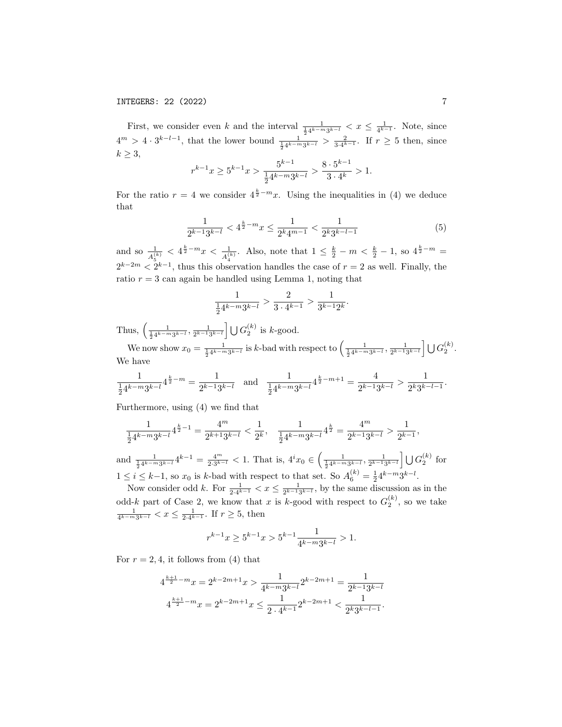First, we consider even k and the interval  $\frac{1}{\frac{1}{2}4^{k-m}3^{k-l}} < x \leq \frac{1}{4^{k-1}}$ . Note, since  $4^m > 4 \cdot 3^{k-l-1}$ , that the lower bound  $\frac{1}{\frac{1}{2}4^{k-m}3^{k-l}} > \frac{2}{3\cdot 4^{k-1}}$ . If  $r \geq 5$  then, since  $k \geq 3$ , k−1  $k-1$ 

$$
r^{k-1}x \ge 5^{k-1}x > \frac{5^{k-1}}{\frac{1}{2}4^{k-m}3^{k-l}} > \frac{8 \cdot 5^{k-1}}{3 \cdot 4^k} > 1.
$$

For the ratio  $r = 4$  we consider  $4^{\frac{k}{2} - m}x$ . Using the inequalities in (4) we deduce that

$$
\frac{1}{2^{k-1}3^{k-l}} < 4^{\frac{k}{2}-m}x \le \frac{1}{2^k 4^{m-1}} < \frac{1}{2^k 3^{k-l-1}}\tag{5}
$$

and so  $\frac{1}{A_5^{(k)}} < 4^{\frac{k}{2}-m}x < \frac{1}{A_4^{(k)}}$ . Also, note that  $1 \leq \frac{k}{2}-m < \frac{k}{2}-1$ , so  $4^{\frac{k}{2}-m}$  $2^{k-2m} < 2^{k-1}$ , thus this observation handles the case of  $r = 2$  as well. Finally, the ratio  $r = 3$  can again be handled using Lemma 1, noting that

$$
\frac{1}{\frac{1}{2}4^{k-m}3^{k-l}} > \frac{2}{3 \cdot 4^{k-1}} > \frac{1}{3^{k-1}2^k}.
$$

Thus,  $\left(\frac{1}{\frac{1}{2}4^{k-m}3^{k-l}}, \frac{1}{2^{k-1}3^{k-l}}\right) \bigcup G_2^{(k)}$  is k-good. 2

We now show  $x_0 = \frac{1}{\frac{1}{2}4^{k-m}3^{k-l}}$  is k-bad with respect to  $\left(\frac{1}{\frac{1}{2}4^{k-m}3^{k-l}}\right)\frac{1}{2^{k-1}3^{k-l}}\right] \bigcup G_2^{(k)}$ . We have

$$
\frac{1}{\frac{1}{2}4^{k-m}3^{k-l}}4^{\frac{k}{2}-m}=\frac{1}{2^{k-1}3^{k-l}}\quad\text{and}\quad \frac{1}{\frac{1}{2}4^{k-m}3^{k-l}}4^{\frac{k}{2}-m+1}=\frac{4}{2^{k-1}3^{k-l}}>\frac{1}{2^k3^{k-l-1}}.
$$

Furthermore, using (4) we find that

$$
\frac{1}{\frac{1}{2}4^{k-m}3^{k-l}}4^{\frac{k}{2}-1}=\frac{4^m}{2^{k+1}3^{k-l}}<\frac{1}{2^k},\quad \frac{1}{\frac{1}{2}4^{k-m}3^{k-l}}4^{\frac{k}{2}}=\frac{4^m}{2^{k-1}3^{k-l}}>\frac{1}{2^{k-1}},
$$

and  $\frac{1}{\frac{1}{2}4^{k-m}3^{k-l}}4^{k-1} = \frac{4^m}{2 \cdot 3^{k-l}} < 1$ . That is,  $4^i x_0 \in \left(\frac{1}{\frac{1}{2}4^{k-m}3^{k-l}}, \frac{1}{2^{k-1}3^{k-l}}\right) \cup G_2^{(k)}$  for  $1 \leq i \leq k-1$ , so  $x_0$  is k-bad with respect to that set. So  $A_6^{(k)} = \frac{1}{2}4^{k-m}3^{k-l}$ .

Now consider odd k. For  $\frac{1}{2 \cdot 4^{k-1}} < x \leq \frac{1}{2^{k-1}3^{k-1}}$ , by the same discussion as in the odd-k part of Case 2, we know that x is k-good with respect to  $G_2^{(k)}$ , so we take  $\frac{1}{4^{k-m}3^{k-l}} < x \leq \frac{1}{2 \cdot 4^{k-1}}$ . If  $r \geq 5$ , then

$$
r^{k-1}x\geq 5^{k-1}x>5^{k-1}\frac{1}{4^{k-m}3^{k-l}}>1.
$$

For  $r = 2, 4$ , it follows from (4) that

$$
4^{\frac{k+1}{2}-m}x = 2^{k-2m+1}x > \frac{1}{4^{k-m}3^{k-l}}2^{k-2m+1} = \frac{1}{2^{k-1}3^{k-l}}
$$

$$
4^{\frac{k+1}{2}-m}x = 2^{k-2m+1}x \le \frac{1}{2 \cdot 4^{k-1}}2^{k-2m+1} < \frac{1}{2^k 3^{k-l-1}}.
$$